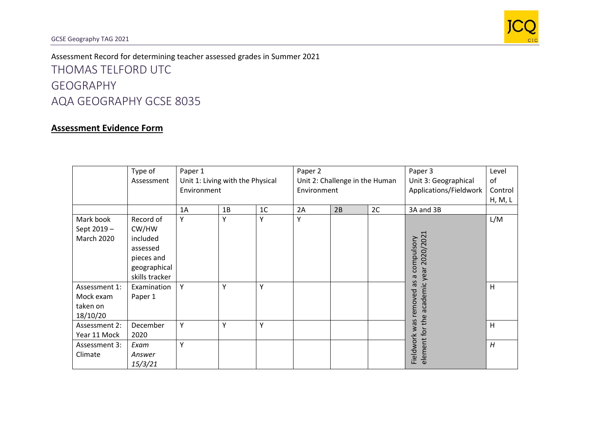

Assessment Record for determining teacher assessed grades in Summer 2021 THOMAS TELFORD UTC GEOGRAPHY AQA GEOGRAPHY GCSE 8035

## **Assessment Evidence Form**

|                                                    | Type of<br>Assessment                                                                      | Paper 1<br>Unit 1: Living with the Physical<br>Environment |    |                | Paper 2<br>Unit 2: Challenge in the Human<br>Environment |    |    | Paper 3<br>Unit 3: Geographical<br>Applications/Fieldwork | Level<br>of<br>Control<br>H, M, L |
|----------------------------------------------------|--------------------------------------------------------------------------------------------|------------------------------------------------------------|----|----------------|----------------------------------------------------------|----|----|-----------------------------------------------------------|-----------------------------------|
|                                                    |                                                                                            | 1A                                                         | 1B | 1 <sup>C</sup> | 2A                                                       | 2B | 2C | 3A and 3B                                                 |                                   |
| Mark book<br>Sept 2019 -<br><b>March 2020</b>      | Record of<br>CW/HW<br>included<br>assessed<br>pieces and<br>geographical<br>skills tracker | Υ                                                          | Y  | Υ              | Υ                                                        |    |    | compulsory<br>ear 2020/2021<br>σ                          | L/M                               |
| Assessment 1:<br>Mock exam<br>taken on<br>18/10/20 | Examination<br>Paper 1                                                                     | Υ                                                          | Y  | Υ              |                                                          |    |    | academic year<br>3P<br>removed                            | H                                 |
| Assessment 2:<br>Year 11 Mock                      | December<br>2020                                                                           | Υ                                                          | Y  | Υ              |                                                          |    |    |                                                           | H                                 |
| Assessment 3:<br>Climate                           | Exam<br>Answer<br>15/3/21                                                                  | Υ                                                          |    |                |                                                          |    |    | element for the<br>Fieldwork was                          | H                                 |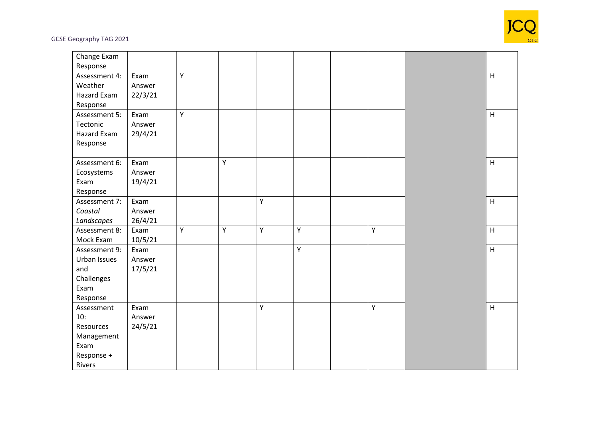

GCSE Geography TAG 2021

| Change Exam<br>Response |         |                |   |   |   |             |                           |
|-------------------------|---------|----------------|---|---|---|-------------|---------------------------|
| Assessment 4:           | Exam    | $\overline{Y}$ |   |   |   |             | H                         |
| Weather                 | Answer  |                |   |   |   |             |                           |
| Hazard Exam             | 22/3/21 |                |   |   |   |             |                           |
| Response                |         |                |   |   |   |             |                           |
| Assessment 5:           | Exam    | Y              |   |   |   |             | H                         |
| Tectonic                | Answer  |                |   |   |   |             |                           |
| Hazard Exam             | 29/4/21 |                |   |   |   |             |                           |
| Response                |         |                |   |   |   |             |                           |
|                         |         |                |   |   |   |             |                           |
| Assessment 6:           | Exam    |                | Y |   |   |             | H                         |
| Ecosystems              | Answer  |                |   |   |   |             |                           |
| Exam                    | 19/4/21 |                |   |   |   |             |                           |
| Response                |         |                |   |   |   |             |                           |
| Assessment 7:           | Exam    |                |   | Υ |   |             | $\boldsymbol{\mathsf{H}}$ |
| Coastal                 | Answer  |                |   |   |   |             |                           |
| Landscapes              | 26/4/21 |                |   |   |   |             |                           |
| Assessment 8:           | Exam    | Y              | Y | Υ | Υ | Y           | $\mathsf H$               |
| Mock Exam               | 10/5/21 |                |   |   |   |             |                           |
| Assessment 9:           | Exam    |                |   |   | Y |             | $\boldsymbol{\mathsf{H}}$ |
| Urban Issues            | Answer  |                |   |   |   |             |                           |
| and                     | 17/5/21 |                |   |   |   |             |                           |
| Challenges              |         |                |   |   |   |             |                           |
| Exam                    |         |                |   |   |   |             |                           |
| Response                |         |                |   |   |   |             |                           |
| Assessment              | Exam    |                |   | Υ |   | $\mathsf Y$ | H                         |
| 10:                     | Answer  |                |   |   |   |             |                           |
| Resources               | 24/5/21 |                |   |   |   |             |                           |
| Management              |         |                |   |   |   |             |                           |
| Exam                    |         |                |   |   |   |             |                           |
| Response +              |         |                |   |   |   |             |                           |
| Rivers                  |         |                |   |   |   |             |                           |